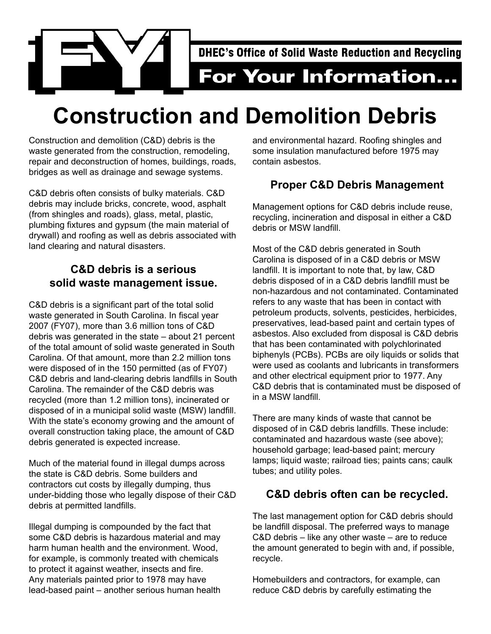

# **Construction and Demolition Debris**

Construction and demolition (C&D) debris is the waste generated from the construction, remodeling, repair and deconstruction of homes, buildings, roads, bridges as well as drainage and sewage systems.

C&D debris often consists of bulky materials. C&D debris may include bricks, concrete, wood, asphalt (from shingles and roads), glass, metal, plastic, plumbing fixtures and gypsum (the main material of drywall) and roofing as well as debris associated with land clearing and natural disasters.

### **C&D debris is a serious solid waste management issue.**

C&D debris is a significant part of the total solid waste generated in South Carolina. In fiscal year 2007 (FY07), more than 3.6 million tons of C&D debris was generated in the state – about 21 percent of the total amount of solid waste generated in South Carolina. Of that amount, more than 2.2 million tons were disposed of in the 150 permitted (as of FY07) C&D debris and land-clearing debris landfills in South Carolina. The remainder of the C&D debris was recycled (more than 1.2 million tons), incinerated or disposed of in a municipal solid waste (MSW) landfill. With the state's economy growing and the amount of overall construction taking place, the amount of C&D debris generated is expected increase.

Much of the material found in illegal dumps across the state is C&D debris. Some builders and contractors cut costs by illegally dumping, thus under-bidding those who legally dispose of their C&D debris at permitted landfills.

Illegal dumping is compounded by the fact that some C&D debris is hazardous material and may harm human health and the environment. Wood, for example, is commonly treated with chemicals to protect it against weather, insects and fire. Any materials painted prior to 1978 may have lead-based paint – another serious human health and environmental hazard. Roofing shingles and some insulation manufactured before 1975 may contain asbestos.

## **Proper C&D Debris Management**

Management options for C&D debris include reuse, recycling, incineration and disposal in either a C&D debris or MSW landfill.

Most of the C&D debris generated in South Carolina is disposed of in a C&D debris or MSW landfill. It is important to note that, by law, C&D debris disposed of in a C&D debris landfill must be non-hazardous and not contaminated. Contaminated refers to any waste that has been in contact with petroleum products, solvents, pesticides, herbicides, preservatives, lead-based paint and certain types of asbestos. Also excluded from disposal is C&D debris that has been contaminated with polychlorinated biphenyls (PCBs). PCBs are oily liquids or solids that were used as coolants and lubricants in transformers and other electrical equipment prior to 1977. Any C&D debris that is contaminated must be disposed of in a MSW landfill.

There are many kinds of waste that cannot be disposed of in C&D debris landfills. These include: contaminated and hazardous waste (see above); household garbage; lead-based paint; mercury lamps; liquid waste; railroad ties; paints cans; caulk tubes; and utility poles.

### **C&D debris often can be recycled.**

The last management option for C&D debris should be landfill disposal. The preferred ways to manage C&D debris – like any other waste – are to reduce the amount generated to begin with and, if possible, recycle.

Homebuilders and contractors, for example, can reduce C&D debris by carefully estimating the